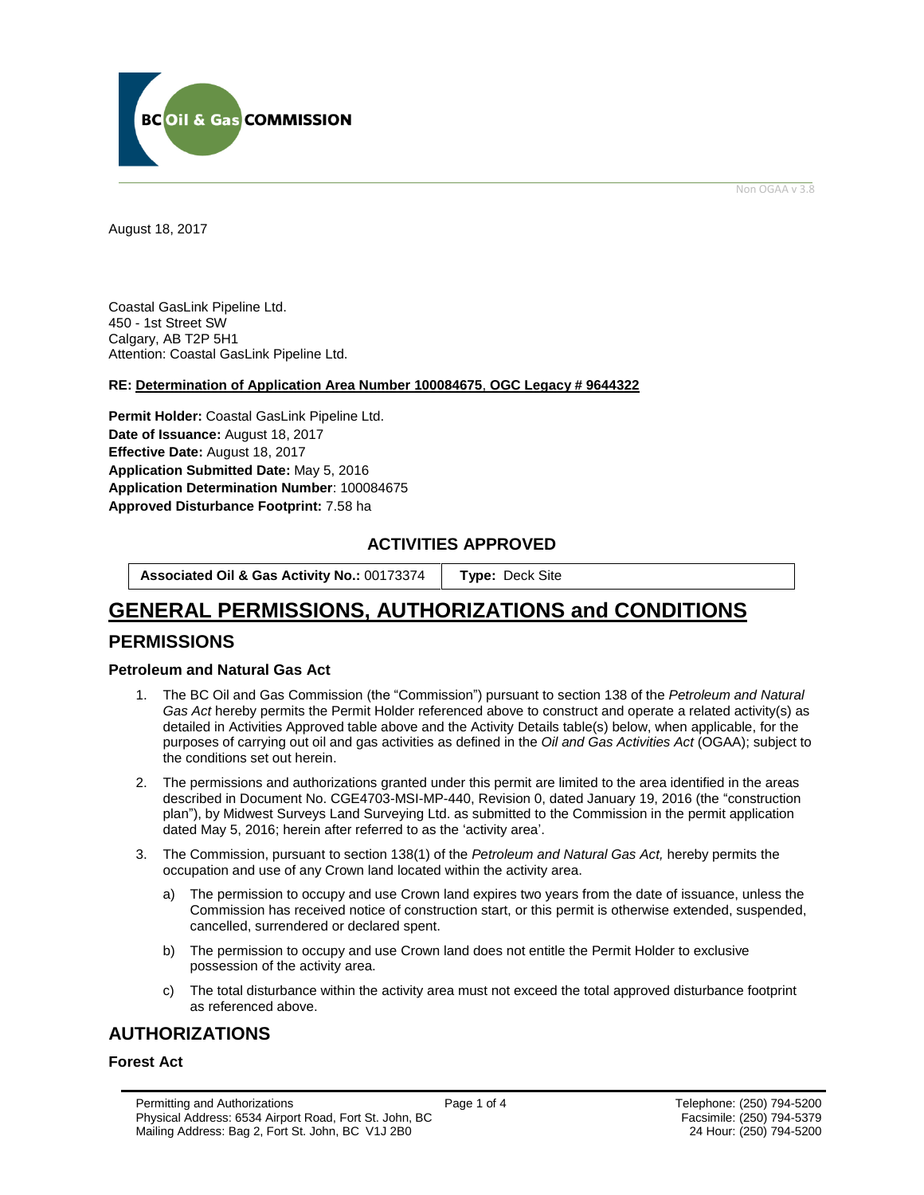

Non OGAA v 3.8

<span id="page-0-0"></span>August 18, 2017

Coastal GasLink Pipeline Ltd. 450 - 1st Street SW Calgary, AB T2P 5H1 Attention: Coastal GasLink Pipeline Ltd.

### **RE: Determination of Application Area Number 100084675**, **OGC Legacy # 9644322**

**Permit Holder:** Coastal GasLink Pipeline Ltd. Date of Issuance: August 18, 2017 **Effective Date:** August 18, 2017 **Application Submitted Date:** May 5, 2016 **Application Determination Number**: 100084675 **[Approved Disturbance Footprint:](#page-0-0)** 7.58 ha

### **ACTIVITIES APPROVED**

**Associated Oil & Gas Activity No.:** 00173374 **[Type:](https://bi.bcogc.ca/Application%20Processing/Interactive%20Reports/(BIL-041)%20AMS%20Decision%20Summary.aspx)** Deck Site

# **GENERAL [PERMISSIONS,](#page-0-0) AUTHORIZATIONS and CONDITIONS**

## **PERMISSIONS**

### **Petroleum and Natural Gas Act**

- 1. The BC Oil and Gas Commission (the "Commission") pursuant to section 138 of the *Petroleum and Natural Gas Act* hereby permits the Permit Holder referenced above to construct and operate a related activity(s) as detailed in Activities Approved table above and the Activity Details table(s) below, when applicable, for the purposes of carrying out oil and gas activities as defined in the *Oil and Gas Activities Act* (OGAA); subject to the conditions set out herein.
- 2. The permissions and authorizations granted under this permit are limited to the area identified in the areas described in Document No. CGE4703-MSI-MP-440, Revision 0, dated January 19, 2016 (the "construction plan"), by Midwest Surveys Land Surveying Ltd. as submitted to the Commission in the permit application dated May 5, 2016; herein after referred to as the 'activity area'.
- 3. The Commission, pursuant to section 138(1) of the *Petroleum and Natural Gas Act,* hereby permits the occupation and use of any Crown land located within the activity area.
	- a) The permission to occupy and use Crown land expires two years from the date of issuance, unless the Commission has received notice of construction start, or this permit is otherwise extended, suspended, cancelled, surrendered or declared spent.
	- b) The permission to occupy and use Crown land does not entitle the Permit Holder to exclusive possession of the activity area.
	- c) The total disturbance within the activity area must not exceed the total approved disturbance footprint as referenced above.

# **AUTHORIZATIONS**

### **Forest Act**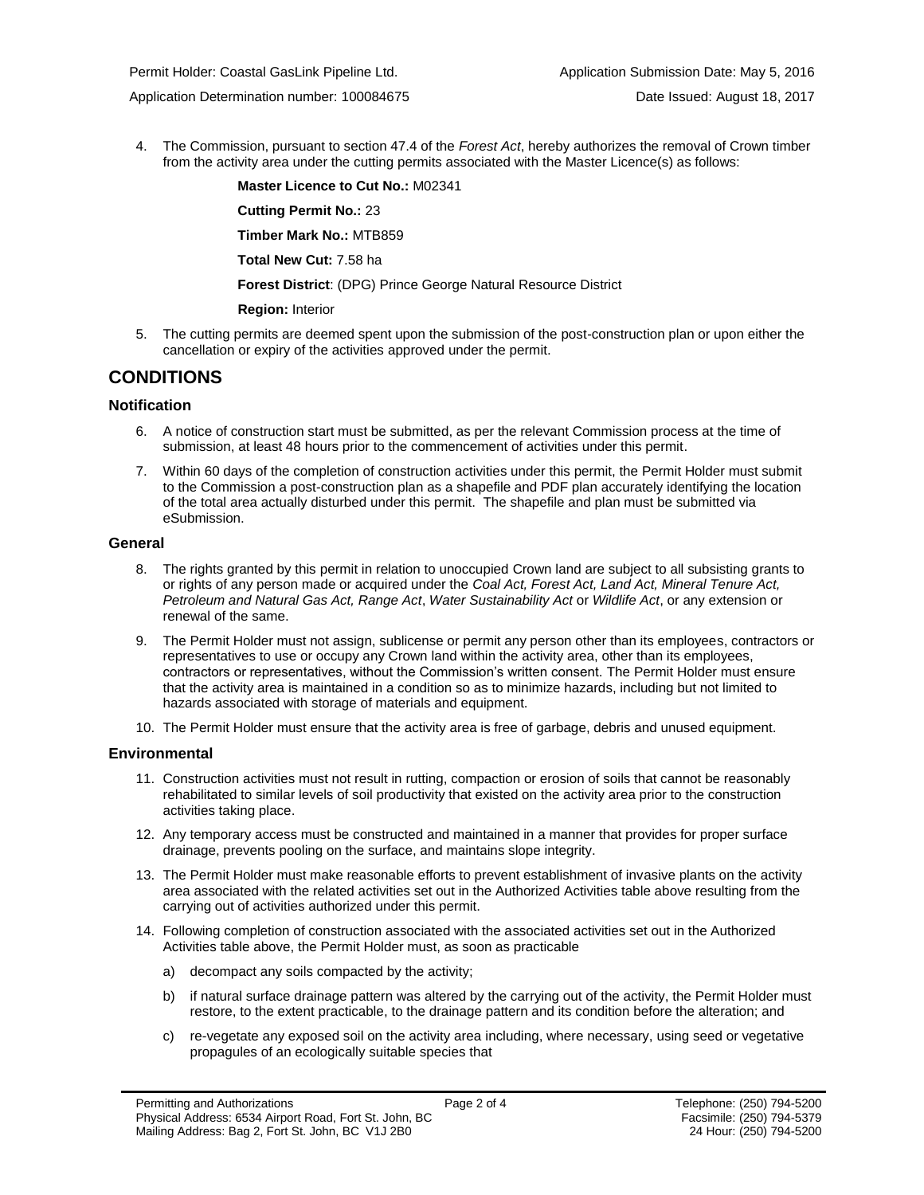Permit Holder: Coastal GasLink Pipeline Ltd. And Application Submission Date: May 5, 2016

Application Determination number: 100084675 Date Issued: August 18, 2017

4. The Commission, pursuant to section 47.4 of the *Forest Act*, hereby [authorizes](#page-0-0) the removal of Crown timber from the activity area under the cutting permits associated with the Master Licence(s) as follows:

> **Master Licence to Cut No.:** M02341 **Cutting Permit No.:** 23 **Timber Mark No.:** MTB859 **Total New Cut:** 7.58 ha

**[Forest District](https://ams-crd.bcogc.ca/crd/)**: (DPG) Prince George Natural Resource District

### **Region:** Interior

5. The cutting permits are deemed spent upon the submission of the post-construction plan or upon either the cancellation or expiry of the activities [approve](#page-0-0)d under the permit.

## **CONDITIONS**

### **Notification**

- 6. A notice of construction start must be submitted, as per the relevant Commission process at the time of submission, at least 48 hours prior to the commencement of activities under this permit.
- 7. Within 60 days of the completion of construction activities under this permit, the Permit Holder must submit to the Commission a post-construction plan as a shapefile and PDF plan accurately identifying the location of the total area actually disturbed under this permit. The shapefile and plan must be submitted via eSubmission.

### **General**

- 8. The rights granted by this permit in relation to unoccupied Crown land are subject to all subsisting grants to or rights of any person made or acquired under the *Coal Act, Forest Act, Land Act, Mineral Tenure Act, Petroleum and Natural Gas Act, Range Act*, *Water Sustainability Act* or *Wildlife Act*, or any extension or renewal of the same.
- 9. The Permit Holder must not assign, sublicense or permit any person other than its employees, contractors or representatives to use or occupy any Crown land within the activity area, other than its employees, contractors or representatives, without the Commission's written consent. The Permit Holder must ensure that the activity area is maintained in a condition so as to minimize hazards, including but not limited to hazards associated with storage of materials and equipment.
- 10. The Permit Holder must ensure that the activity area is free of garbage, debris and unused equipment.

### **Environmental**

- 11. Construction activities must not result in rutting, compaction or erosion of soils that cannot be reasonably rehabilitated to similar levels of soil productivity that existed on the activity area prior to the construction activities taking place.
- 12. Any temporary access must be constructed and maintained in a manner that provides for proper surface drainage, prevents pooling on the surface, and maintains slope integrity.
- 13. The Permit Holder must make reasonable efforts to prevent establishment of invasive plants on the activity area associated with the related activities set out in the Authorized Activities table above resulting from the carrying out of activities authorized under this permit.
- 14. Following completion of construction associated with the associated activities set out in the Authorized Activities table above, the Permit Holder must, as soon as practicable
	- a) decompact any soils compacted by the activity;
	- b) if natural surface drainage pattern was altered by the carrying out of the activity, the Permit Holder must restore, to the extent practicable, to the drainage pattern and its condition before the alteration; and
	- c) re-vegetate any exposed soil on the activity area including, where necessary, using seed or vegetative propagules of an ecologically suitable species that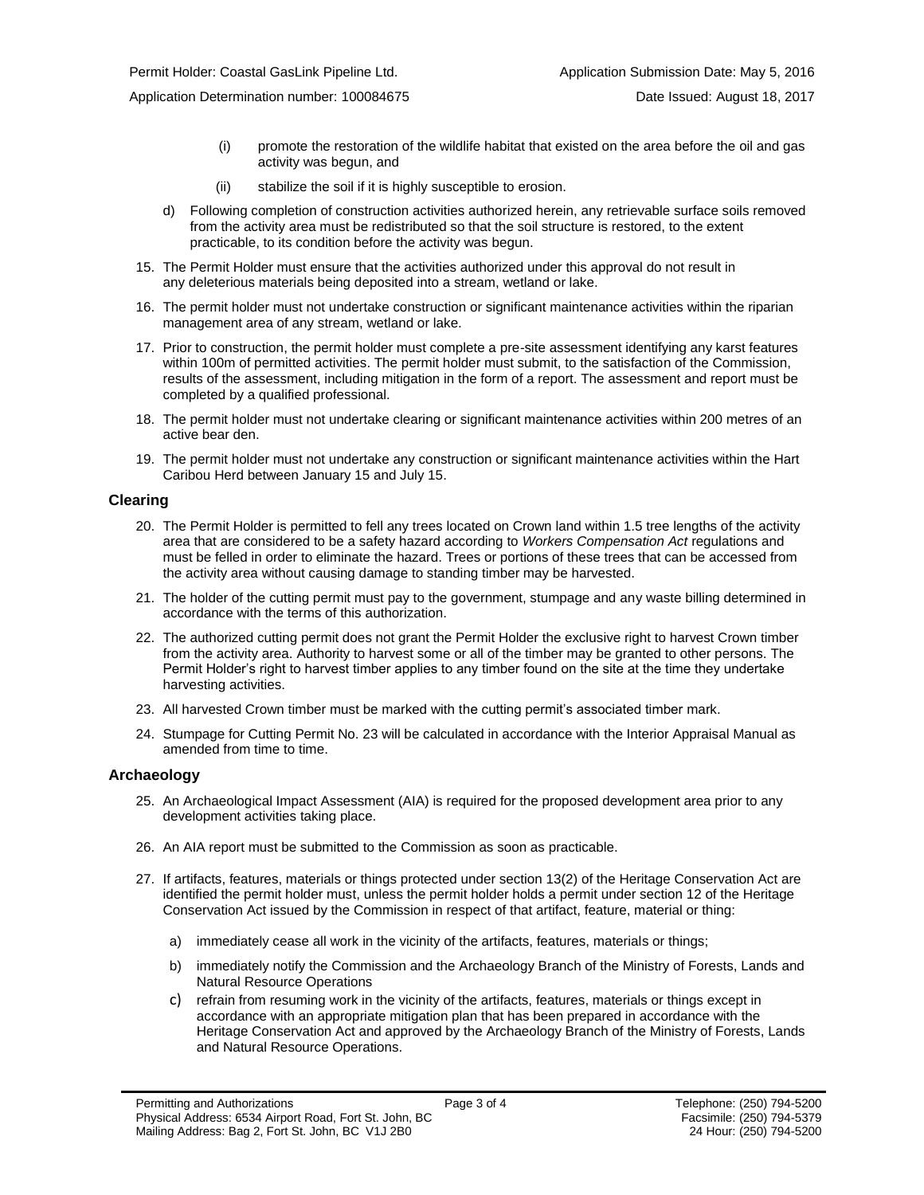- (i) promote the restoration of the wildlife habitat that existed on the area before the oil and gas activity was begun, and
- (ii) stabilize the soil if it is highly susceptible to erosion.
- d) Following completion of construction activities authorized herein, any retrievable surface soils removed from the activity area must be redistributed so that the soil structure is restored, to the extent practicable, to its condition before the activity was begun.
- 15. The Permit Holder must ensure that the activities authorized under this approval do not result in any deleterious materials being deposited into a stream, wetland or lake.
- 16. The permit holder must not undertake construction or significant maintenance activities within the riparian management area of any stream, wetland or lake.
- 17. Prior to construction, the permit holder must complete a pre-site assessment identifying any karst features within 100m of permitted activities. The permit holder must submit, to the satisfaction of the Commission, results of the assessment, including mitigation in the form of a report. The assessment and report must be completed by a qualified professional.
- 18. The permit holder must not undertake clearing or significant maintenance activities within 200 metres of an active bear den.
- 19. The permit holder must not undertake any construction or significant maintenance activities within the Hart Caribou Herd between January 15 and July 15.

#### **Clearing**

- 20. The Permit Holder is permitted to fell any trees located on Crown land within 1.5 tree lengths of the activity area that are considered to be a safety hazard according to *Workers Compensation Act* regulations and must be felled in order to eliminate the hazard. Trees or portions of these trees that can be accessed from the activity area without causing damage to standing timber may be harvested.
- 21. The holder of the cutting permit must pay to the government, stumpage and any waste billing determined in accordance with the terms of this [authorization.](#page-0-0)
- 22. The [authorized](#page-0-0) cutting permit does not grant the Permit Holder the exclusive right to harvest Crown timber from the activity area. Authority to harvest some or all of the timber may be granted to other persons. The Permit Holder's right to harvest timber applies to any timber found on the site at the time they undertake harvesting activities.
- 23. All harvested Crown timber must be marked with the cutting permit's associated timber mark.
- 24. Stumpage for Cutting Permit No. 23 will be calculated in accordance with the Interior Appraisal Manual as amended from time to time.

### **Archaeology**

- 25. An Archaeological Impact Assessment (AIA) is required for the proposed development area prior to any development activities taking place.
- 26. An AIA report must be submitted to the Commission as soon as practicable.
- 27. If artifacts, features, materials or things protected under section 13(2) of the Heritage Conservation Act are identified the permit holder must, unless the permit holder holds a permit under section 12 of the Heritage Conservation Act issued by the Commission in respect of that artifact, feature, material or thing:
	- a) immediately cease all work in the vicinity of the artifacts, features, materials or things;
	- b) immediately notify the Commission and the Archaeology Branch of the Ministry of Forests, Lands and Natural Resource Operations
	- c) refrain from resuming work in the vicinity of the artifacts, features, materials or things except in accordance with an appropriate mitigation plan that has been prepared in accordance with the Heritage Conservation Act and approved by the Archaeology Branch of the Ministry of Forests, Lands and Natural Resource Operations.